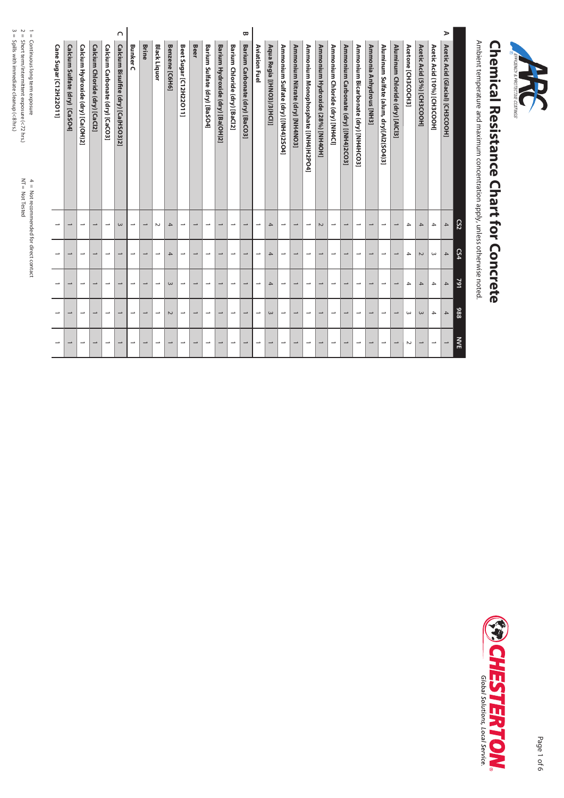| EFFICIENCY & PROTECTIVE COATINGS |  |
|----------------------------------|--|
|                                  |  |

## **Chemical Resistance Chart for Concrete Chemical Resistance Chart for Concrete**

Ambient temperature and maximum concentration apply, unless otherwise noted. Ambient temperature and maximum concentration apply, unless otherwise noted.

|        |                                         | CS <sub>2</sub>          | LS4                      | 791                      | 886                      | <b>NVE</b>               |
|--------|-----------------------------------------|--------------------------|--------------------------|--------------------------|--------------------------|--------------------------|
| ⋗      | Acetic Acid (Glacial) [CH3COOH]         | 4                        | $\mathcal{A}% _{0}$      | $\overline{4}$           | $\overline{4}$           |                          |
|        | Acetic Acid (10%) [CH3COOH]             | $\rightarrow$            | $\omega$                 | $\overline{4}$           | 4                        | $\rightarrow$            |
|        | Acetic Acid (5%) [CH3COOH]              | 4                        | $\sim$                   | $\overline{4}$           | $\omega$                 | $\rightarrow$            |
|        | Acetone [CH3COCH3]                      | 4                        | $\rightarrow$            | 4                        | ω                        | $\sim$                   |
|        | Aluminum Chloride (dry) [AICI3]         | $\overline{\phantom{0}}$ | $\overline{\phantom{0}}$ |                          | $\rightarrow$            |                          |
|        | Aluminum Sulfate (alum, dry)[Al2(SO4)3] | $\rightarrow$            | $\overline{\phantom{a}}$ | $\overline{\phantom{0}}$ | $\overline{\phantom{a}}$ | $\rightarrow$            |
|        | Ammonia Anhydrous [NH3]                 | $\overline{\phantom{0}}$ | $\overline{\phantom{0}}$ | $\overline{\phantom{0}}$ | $\rightarrow$            |                          |
|        | Ammonium Bicarbonate (dry) [NH4HCO3]    | →                        | $\overline{\phantom{0}}$ |                          | $\rightarrow$            | $\rightarrow$            |
|        | Ammonium Carbonate (dry) [(NH4)2CO3]    | $\overline{\phantom{0}}$ | $\overline{\phantom{0}}$ | $\overline{\phantom{0}}$ | →                        | $\overline{\phantom{0}}$ |
|        | Ammonium Chloride (dry) [NH4Cl]         | ∸                        | $\overline{\phantom{0}}$ | $\rightarrow$            | $\overline{\phantom{a}}$ | $\overline{\phantom{a}}$ |
|        | Ammonium Hydroxide (28%) [NH4OH]        | $\sim$                   | $\overline{\phantom{0}}$ | $\overline{\phantom{a}}$ | $\rightarrow$            | $\overline{\phantom{0}}$ |
|        | Ammonium Monophosphate [(NH4)H2PO4]     | $\rightarrow$            | $\overline{\phantom{0}}$ | ÷                        | ┙                        | $\rightarrow$            |
|        | Ammonium Nitrate (dry) [NH4NO3]         | $\overline{\phantom{0}}$ | $\overline{\phantom{a}}$ | $\rightarrow$            | $\rightarrow$            | $\rightarrow$            |
|        | Ammonium Sulfate (dry) [(NH4)2SO4]      | $\rightarrow$            | $\overline{\phantom{a}}$ | $\overline{\phantom{a}}$ | $\overline{\phantom{a}}$ | $\rightarrow$            |
|        | Aqua Regia [(HNO3)/3(HCl)]              | $\blacktriangle$         | $\overline{4}$           | 4                        | $\omega$                 | $\overline{\phantom{0}}$ |
|        | Aviation Fuel                           | →                        | $\overline{\phantom{0}}$ |                          | $\overline{\phantom{a}}$ | →                        |
| β      | Barium Carbonate (dry) [BaCO3]          | $\overline{\phantom{0}}$ | $\overline{\phantom{a}}$ | $\overline{\phantom{a}}$ | $\overline{\phantom{0}}$ | $\overline{\phantom{0}}$ |
|        | Barium Chloride (dry) [BaCl2]           | $\rightarrow$            | $\overline{\phantom{a}}$ | $\overline{\phantom{0}}$ | ⊸                        | $\rightarrow$            |
|        | Barium Hydroxide (dry) [Ba(OH)2]        | $\overline{\phantom{0}}$ | $\overline{\phantom{a}}$ | $\overline{\phantom{0}}$ | $\rightarrow$            | $\rightarrow$            |
|        | Barium Sulfate (dry) [BaSO4]            | ∸                        | $\overline{\phantom{0}}$ | ÷                        | ∸                        | →                        |
|        | Beer                                    | $\rightarrow$            | $\overline{\phantom{a}}$ | $\overline{\phantom{0}}$ | $\overline{\phantom{a}}$ | $\rightarrow$            |
|        | <b>Beet Sugar [C12H22011]</b>           | $\overline{\phantom{a}}$ | $\overline{\phantom{a}}$ | $\overline{\phantom{a}}$ | $\overline{\phantom{a}}$ | $\rightarrow$            |
|        | Benzene [C6H6]                          | 4                        | $\rightarrow$            | $\omega$                 | $\sim$                   | →                        |
|        | <b>Black Liquor</b>                     | $\sim$                   | $\overline{\phantom{0}}$ |                          | ∸                        | →                        |
|        | <b>Brine</b>                            | $\rightarrow$            | $\rightarrow$            | $\rightarrow$            | $\rightarrow$            | $\rightarrow$            |
|        | <b>Bunker C</b>                         | →                        | →                        |                          | →                        | →                        |
| $\cap$ | Calcium Bisulfite (dry) [Ca(HSO3)2]     | $\omega$                 | $\rightarrow$            | $\rightarrow$            | →                        | ┙                        |
|        | Calcium Carbonate (dry) [CaCO3]         | ∸                        | $\overline{\phantom{a}}$ |                          | ∸                        | →                        |
|        | Calcium Chloride (dry) [CaCl2]          | $\overline{\phantom{0}}$ | $\overline{\phantom{a}}$ | $\rightarrow$            | $\overline{\phantom{a}}$ | $\rightarrow$            |
|        | Calcium Hydroxide (dry) [Ca(OH)2]       | $\overline{\phantom{0}}$ | $\overline{\phantom{0}}$ |                          | $\rightarrow$            | $\overline{\phantom{a}}$ |
|        | Calcium Sulfate (dry) [CaSO4]           |                          | →                        |                          |                          |                          |
|        | Cane Sugar [C12H22011]                  |                          |                          |                          |                          |                          |



Spills with immediate cleanup (<8 hrs.)

1 = 2 = 3 =

 $4 =$  Not recommended for direct contact<br>NT = Not Tested 4 = Not recommended for direct contact Not Tested

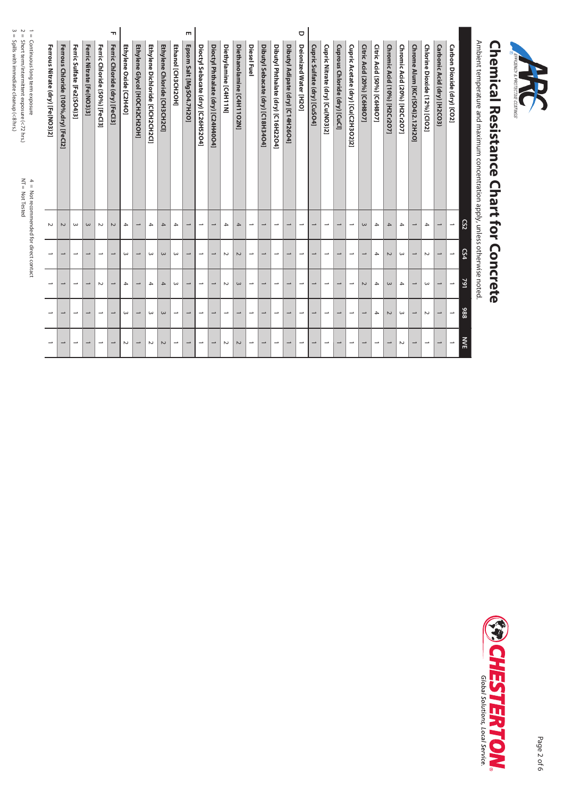| မ<br>။<br>$\sim$<br>$\vec{a}$<br>$\,$ H                                                                                                                                                           |                                  |                                     |                            |                           |                               | T                                |                          |                              |                                  |                              |                          | m                        |                                   |                                    |                          |                           |                          |                                   |                                    |                                  | O                        |                              |                                 |                               |                                    |                            |                            |                              |                              |                               |                               |                             |                            |                |                                                                              |                           |          |  |
|---------------------------------------------------------------------------------------------------------------------------------------------------------------------------------------------------|----------------------------------|-------------------------------------|----------------------------|---------------------------|-------------------------------|----------------------------------|--------------------------|------------------------------|----------------------------------|------------------------------|--------------------------|--------------------------|-----------------------------------|------------------------------------|--------------------------|---------------------------|--------------------------|-----------------------------------|------------------------------------|----------------------------------|--------------------------|------------------------------|---------------------------------|-------------------------------|------------------------------------|----------------------------|----------------------------|------------------------------|------------------------------|-------------------------------|-------------------------------|-----------------------------|----------------------------|----------------|------------------------------------------------------------------------------|---------------------------|----------|--|
| Soills with immediate clearce ( $\sim$ 8 hzs.)<br>Short term/intermittent exposure (<72 hrs.)<br>Continuous long term exposure<br>$N_T =$<br>4 = Not recommended for direct contact<br>Not Tested | Ferrous Nitrate (dry) [Fe(NO3)2] | Ferrous Chloride (100%,dry) [FeCl2] | Ferric Sulfate [Fe2(SO4)3] | Ferric Nitrate [Fe(NO3)3] | Ferric Chloride (50%) [FeCl3] | Ferric<br>Chloride (dry) [FeC13] | Ethylene Oxide [C2H4O]   | Ethylene Glycol [HOCH2CH2OH] | Ethylene Dichloride [CICH2CH2CI] | Ethylene Chloride [CH3CH2Cl] | Ethanol [CH3CH2OH]       | Epsom Salt [MgSO4.7H2O]  | Dioctyl Sebacate (dry) [C26H52O4] | Dioctyl Phthalate (dry) [C24H40O4] | Diethylamine [C4H11N]    | Diethanolamine [C4H11O2N] | <b>Diesel Fuel</b>       | Dibutyl Sebacate (dry) [C18H34O4] | Dibutyl Phthalate (dry) [C16H22O4] | Dibutyl Adipate (dry) [C14H26O4] | Deionized Water [H2O]    | Cupric Sulfate (dry) [CuSO4] | Cupric Nitrate (dry) [Cu(NO3)2] | Cuprous Chloride (dry) [CuCl] | Cupric Acetate (dry) [Cu(C2H3O2)2] | Citric Acid (20%) [C6H8O7] | Citric Acid (50%) [C6H8O7] | Chromic Acid (10%) [H2Cr2O7] | Chromic Acid (20%) [H2Cr2O7] | Chrome Alum [KCr(SO4)2.12H2O] | Chlorine Dioxide (12%) [ClO2] | Carbonic Acid (dry) [H2CO3) | Carbon Dioxide (dry) [CO2] |                | Ambient temperature and maximum concentration apply, unless otherwise noted. | <b>hemical Resistance</b> | COATINGS |  |
|                                                                                                                                                                                                   | $\sim$                           | $\sim$                              | $\omega$                   | $\omega$                  | $\sim$                        | $\sim$                           | $\overline{\phantom{a}}$ | $\overline{\phantom{a}}$     | $\rightarrow$                    | 4                            | $\overline{\phantom{a}}$ | $\overline{\phantom{a}}$ | $\overline{\phantom{a}}$          | $\overline{\phantom{a}}$           | $\rightarrow$            | 4                         | $\overline{\phantom{a}}$ | $\overline{\phantom{a}}$          | $\overline{\phantom{a}}$           | $\overline{\phantom{a}}$         | $\overline{\phantom{a}}$ | $\overline{\phantom{a}}$     | $\overline{\phantom{a}}$        | $\overline{\phantom{a}}$      | $\overline{\phantom{a}}$           | $\omega$                   | $\rightarrow$              | 4                            | $\rightarrow$                | $\overline{\phantom{a}}$      | $\rightarrow$                 | $\overline{\phantom{a}}$    | $\overline{\phantom{a}}$   | $\overline{c}$ |                                                                              |                           |          |  |
|                                                                                                                                                                                                   | $\overline{\phantom{a}}$         | ſ                                   | $\overline{\phantom{a}}$   | $\overline{\phantom{0}}$  | $\overline{\phantom{a}}$      | $\overline{\phantom{0}}$         | ω                        | $\overline{\phantom{a}}$     | $\omega$                         | $\omega$                     | $\omega$                 | $\overline{\phantom{a}}$ | $\overline{\phantom{a}}$          | $\overline{\phantom{a}}$           | $\sim$                   | $\sim$                    | $\overline{\phantom{a}}$ | $\overline{\phantom{a}}$          | $\overline{\phantom{a}}$           | $\overline{\phantom{0}}$         | $\overline{\phantom{a}}$ | $\overline{\phantom{0}}$     | $\overline{\phantom{a}}$        | $\rightarrow$                 | $\overline{\phantom{a}}$           | $\overline{\phantom{a}}$   | $\rightarrow$              | $\sim$                       | $\omega$                     | $\overline{\phantom{a}}$      | $\sim$                        | $\overline{\phantom{a}}$    | $\rightarrow$              | <b>CS4</b>     |                                                                              |                           |          |  |
|                                                                                                                                                                                                   | $\overline{\phantom{a}}$         | ſ                                   | $\overline{\phantom{a}}$   | $\overline{\phantom{a}}$  | $\sim$                        | $\overline{\phantom{a}}$         | $\rightarrow$            | $\overline{\phantom{0}}$     | $\rightarrow$                    | $\overline{4}$               | $\omega$                 | $\overline{\phantom{a}}$ | $\overline{\phantom{a}}$          | $\overline{\phantom{a}}$           | $\sim$                   | $\omega$                  | $\overline{\phantom{a}}$ | $\overline{\phantom{a}}$          | $\overline{\phantom{a}}$           | $\overline{\phantom{0}}$         | $\overline{\phantom{a}}$ | $\overline{\phantom{a}}$     | $\overline{\phantom{a}}$        | $\overline{\phantom{0}}$      | $\overline{\phantom{a}}$           | $\sim$                     | 4                          | $\mathsf{\omega}$            | $\overline{\phantom{a}}$     | $\overline{\phantom{0}}$      | $\omega$                      | $\overline{\phantom{a}}$    | $\overline{\phantom{a}}$   | 791            |                                                                              | <b>Chart for Concrete</b> |          |  |
|                                                                                                                                                                                                   | $\overline{\phantom{a}}$         | $\overline{\phantom{0}}$            | $\overline{\phantom{a}}$   | $\overline{\phantom{a}}$  | $\overline{\phantom{a}}$      | $\overline{\phantom{a}}$         | ω                        | $\overline{\phantom{a}}$     | $\omega$                         | $\omega$                     | $\overline{\phantom{a}}$ | $\overline{\phantom{0}}$ | $\overline{\phantom{a}}$          | $\overline{\phantom{a}}$           | $\overline{\phantom{a}}$ | $\overline{\phantom{a}}$  | $\overline{\phantom{a}}$ | $\overline{\phantom{a}}$          | $\overline{\phantom{a}}$           | $\overline{\phantom{a}}$         | $\overline{\phantom{a}}$ | $\overline{\phantom{a}}$     | $\overline{\phantom{a}}$        | $\overline{\phantom{a}}$      | $\overline{\phantom{a}}$           | $\overline{\phantom{a}}$   | 4                          | $\sim$                       | $\omega$                     | $\overline{\phantom{a}}$      | $\sim$                        | $\overline{\phantom{a}}$    | $\overline{\phantom{a}}$   | 886            |                                                                              |                           |          |  |
|                                                                                                                                                                                                   | $\overline{\phantom{a}}$         | $\overline{\phantom{0}}$            | $\overline{\phantom{0}}$   | $\overline{\phantom{0}}$  | $\overline{\phantom{a}}$      | $\overline{\phantom{0}}$         | N                        | $\overline{\phantom{0}}$     | $\sim$                           | $\sim$                       | $\overline{\phantom{a}}$ | $\overline{\phantom{0}}$ | $\overline{\phantom{a}}$          | $\overline{\phantom{a}}$           | $\sim$                   | $\sim$                    | $\overline{\phantom{a}}$ | $\overline{\phantom{a}}$          | $\overline{\phantom{a}}$           | $\overline{\phantom{a}}$         | $\overline{\phantom{a}}$ | $\overline{\phantom{0}}$     | $\overline{\phantom{a}}$        | $\overline{\phantom{a}}$      | $\overline{\phantom{a}}$           | $\overline{\phantom{a}}$   | $\overline{\phantom{a}}$   | $\overline{\phantom{a}}$     | $\sim$                       | $\overline{\phantom{a}}$      | $\overline{\phantom{a}}$      | $\rightarrow$               | $\overline{\phantom{a}}$   | NVE            |                                                                              |                           |          |  |



Short term/intermittent exposure (<72 hrs.) Spills with immediate cleanup (<8 hrs.)

**ED CHESTERTON** 

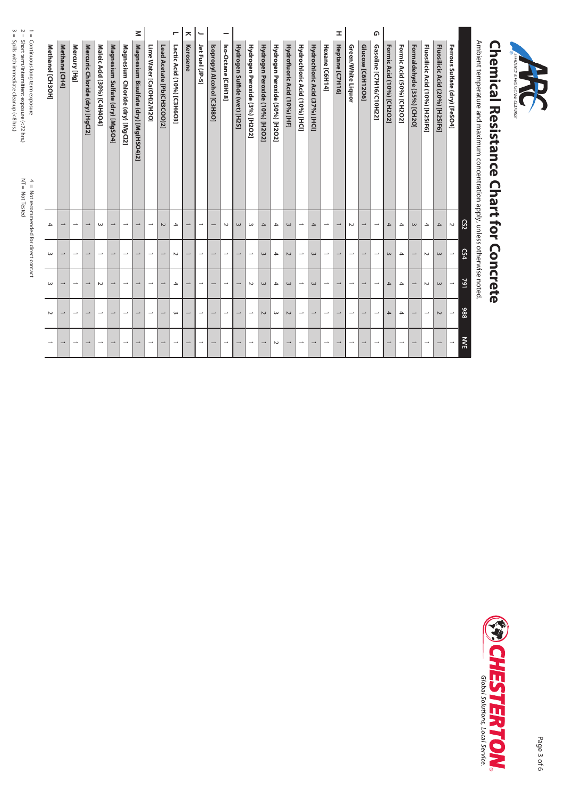| <b>EFFICIENCY &amp; PROTECTIVE COATINGS</b> |  |
|---------------------------------------------|--|
|                                             |  |

## **Chemical Resistance Chart for Concrete Chemical Resistance Chart for Concrete**

Ambient temperature and maximum concentration apply, unless otherwise noted. Ambient temperature and maximum concentration apply, unless otherwise noted.

|                  |                          |                          |                                 |                            |                                 |                                  | Μ                                     |                          |                            | ┍                          | ᄎ                        | $\overline{\phantom{0}}$ |                           |                          |                              |                               |                                |                                |                              |                               |                               |                          | I                        |                          |                          | ۵                        |                           |                           |                           |                                 |                                 |                               |            |
|------------------|--------------------------|--------------------------|---------------------------------|----------------------------|---------------------------------|----------------------------------|---------------------------------------|--------------------------|----------------------------|----------------------------|--------------------------|--------------------------|---------------------------|--------------------------|------------------------------|-------------------------------|--------------------------------|--------------------------------|------------------------------|-------------------------------|-------------------------------|--------------------------|--------------------------|--------------------------|--------------------------|--------------------------|---------------------------|---------------------------|---------------------------|---------------------------------|---------------------------------|-------------------------------|------------|
| Methanol [CH3OH] | Methane [CH4]            | Mercury [Hg]             | Mercuric Chloride (dry) [HgCl2] | Maleic Acid (30%) [C4H4O4] | Magnesium Sulfate (dry) [MgSO4] | Magnesium Chloride (dry) [MgCl2] | Magnesium Bisulfate (dry) [Mg(HSO4)2] | Lime Water [Ca(OH)2/H2O] | Lead Acetate [Pb(CH3COO)2] | Lactic Acid (10%) [C3H6O3] | Kerosene                 | Jet Fuel (JP-5)          | Isopropyl Alcohol [C3H8O] | Iso-Octane [C8H18]       | Hydrogen Sulfide (wet) [H2S] | Hydrogen Peroxide (3%) [H2O2] | Hydrogen Peroxide (10%) [H2O2] | Hydrogen Peroxide (50%) [H2O2] | Hydrofluoric Acid (10%) [HF] | Hydrochloric Acid (10%) [HCl] | Hydrochloric Acid (37%) [HCI] | Hexane [C6H14]           | Heptane [C7H16]          | Green/White Liquor       | Glucose [C6H12O6]        | Gasoline [C7H16/C10H22]  | Formic Acid (10%) [CH2O2] | Formic Acid (50%) [CH2O2] | Formaldehyde (35%) [CH2O] | Fluosilicic Acid (10%) [H2SiF6] | Fluosilicic Acid (20%) [H2SiF6] | Ferrous Sulfate (dry) [FeSO4] |            |
| 4                | $\rightarrow$            | $\overline{\phantom{0}}$ | $\overline{\phantom{0}}$        | $\omega$                   | $\overline{\phantom{0}}$        | $\overline{\phantom{a}}$         | $\overline{\phantom{0}}$              | ∸                        | $\sim$                     | $\overline{ }$             | $\rightarrow$            | $\rightarrow$            | $\rightarrow$             | $\sim$                   | $\omega$                     | ω                             | $\overline{4}$                 | 4                              | $\omega$                     | $\overline{\phantom{a}}$      | $\rightarrow$                 | $\overline{\phantom{0}}$ | $\rightarrow$            | $\sim$                   | $\overline{\phantom{0}}$ | $\overline{\phantom{a}}$ | 4                         | 4                         | $\omega$                  | 4                               | $\rightarrow$                   | $\sim$                        | CS2        |
| $\omega$         | $\overline{\phantom{0}}$ | $\overline{\phantom{a}}$ | $\overline{\phantom{0}}$        | $\rightarrow$              | $\rightarrow$                   | $\overline{\phantom{a}}$         | $\rightarrow$                         | →                        | $\overline{\phantom{0}}$   | $\sim$                     | $\rightarrow$            | $\rightarrow$            | $\overline{\phantom{a}}$  | $\overline{\phantom{a}}$ | $\rightarrow$                | $\overline{\phantom{a}}$      | $\omega$                       | 4                              | $\sim$                       | $\overline{\phantom{a}}$      | $\omega$                      | $\overline{\phantom{a}}$ | $\overline{\phantom{0}}$ | $\overline{\phantom{0}}$ | $\overline{\phantom{0}}$ | $\overline{\phantom{a}}$ | $\omega$                  | 4                         | $\overline{\phantom{a}}$  | $\sim$                          | $\omega$                        | $\overline{\phantom{a}}$      | <b>CS4</b> |
| ω                | $\overline{\phantom{0}}$ | $\rightarrow$            | $\rightarrow$                   | $\sim$                     | J                               | $\overline{\phantom{a}}$         | $\rightarrow$                         | →                        | →                          | $\rightarrow$              | $\overline{\phantom{0}}$ | →                        | $\overline{\phantom{0}}$  | $\overline{\phantom{a}}$ | $\rightarrow$                | $\sim$                        | $\omega$                       | 4                              | $\omega$                     | $\overline{\phantom{0}}$      | $\omega$                      | $\overline{\phantom{a}}$ | $\rightarrow$            | $\rightarrow$            | $\overline{\phantom{0}}$ | $\overline{\phantom{a}}$ | $\overline{4}$            | $\rightarrow$             | $\overline{\phantom{0}}$  | $\sim$                          | $\omega$                        | $\overline{\phantom{a}}$      | 791        |
| $\sim$           | $\overline{\phantom{0}}$ | $\overline{\phantom{0}}$ | $\overline{\phantom{0}}$        | $\overline{\phantom{0}}$   | $\overline{\phantom{0}}$        | $\overline{\phantom{a}}$         | $\overline{\phantom{0}}$              | →                        | $\overline{\phantom{0}}$   | $\omega$                   | $\rightarrow$            | $\overline{\phantom{0}}$ | $\rightarrow$             | $\overline{\phantom{0}}$ | →                            | $\overline{\phantom{a}}$      | $\sim$                         | ω                              | $\sim$                       | $\overline{\phantom{a}}$      | $\overline{\phantom{0}}$      | $\overline{\phantom{0}}$ | $\overline{\phantom{0}}$ | ⊸                        | $\rightarrow$            | $\overline{\phantom{0}}$ | 4                         | 4                         | $\overline{\phantom{0}}$  | $\overline{\phantom{a}}$        | $\sim$                          | $\overline{\phantom{a}}$      | 886        |
|                  | $\overline{\phantom{a}}$ | $\overline{\phantom{a}}$ | $\overline{\phantom{0}}$        | $\rightarrow$              | $\rightarrow$                   | $\overline{\phantom{0}}$         | $\overline{\phantom{0}}$              | $\rightarrow$            | $\overline{\phantom{0}}$   | →                          | $\rightarrow$            | $\rightarrow$            | $\rightarrow$             | $\overline{\phantom{0}}$ | $\rightarrow$                | $\rightarrow$                 | $\overline{\phantom{a}}$       | $\sim$                         | $\overline{\phantom{a}}$     | $\rightarrow$                 | $\overline{\phantom{0}}$      | $\rightarrow$            | $\overline{\phantom{a}}$ | $\overline{\phantom{0}}$ | $\rightarrow$            | $\rightarrow$            | $\overline{\phantom{0}}$  | $\rightarrow$             | $\overline{\phantom{a}}$  | $\overline{\phantom{a}}$        | $\overline{\phantom{0}}$        | $\overline{\phantom{a}}$      | <b>NVE</b> |



Not Tested

Short term/intermittent exposure (<72 hrs.) Spills with immediate cleanup (<8 hrs.)

1 = 2 = 3 =

Continuous long term exposure

 $4 =$  Not recommended for direct contact<br>NT = Not Tested

4 = Not recommended for direct contact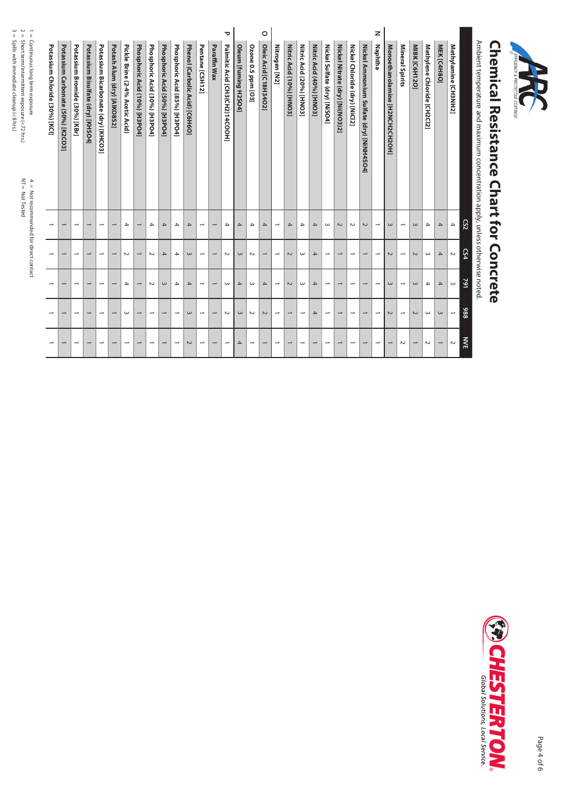| $\,$ H<br>Continuous long term exposure | Potassium Chloride (30%) [KCI] | Potassium Carbonate (50%) [K2CO3] | Potassium Bromide (30%) [KBr] | Potassium<br><b>Bisulfate (dry) [KHSO4]</b> | Potassium Bicarbonate (dry) [KHCO3] | Potash Alum (dry) [AlKO8S2] | Pickle Brine (2-4% Acetic Acid) | Phosphoric Acid (10%) [H3PO4] | Phosphoric Acid (30%) [H3PO4] | Phosphoric Acid (50%) [H3PO4] | Phosphoric Acid (85%) [H3PO4] | Phenol (Carbolic Acid) [C6H6O] | Pentane [C5H12]          | Paraffin Wax             | ᠊ᢦ<br>Palmitic Acid [CH3(CH2)14COOH] | Oleum [fuming H2SO4] | Ozone 0.5 ppm [O3]       | $\circ$<br>Oleic<br>Acid [C18H34O2] | Nitrogen [N2]            | Nitric Acid (10%) [HNO3] | Nitric Acid (20%) [HNO3] | Nitric Acid (40%) [HNO3] | Nickel Sulfate (dry) [NiSO4] | Nickel Nitrate (dry) [Ni(NO3)2] | Nickel Chloride (dry) [NiCl2] | Nickel Ammonium Sulfate (dry) [NiNH4SO4] | z<br>Naphtha             | Monoethanolamine<br>[H2NCH2CH2OH] | Mineral Spirits          | MIBK [C6H12O]            | Methylene Chloride [CH2Cl2] | MEK [C4H8O]              | Methylamine [CH3NH2]     | Ambient temperature and maximum concentration apply, unless otherwise noted. | <b>Perical Resistance</b> | EFFICIENCY & I<br><b>SSMITAGS</b> |
|-----------------------------------------|--------------------------------|-----------------------------------|-------------------------------|---------------------------------------------|-------------------------------------|-----------------------------|---------------------------------|-------------------------------|-------------------------------|-------------------------------|-------------------------------|--------------------------------|--------------------------|--------------------------|--------------------------------------|----------------------|--------------------------|-------------------------------------|--------------------------|--------------------------|--------------------------|--------------------------|------------------------------|---------------------------------|-------------------------------|------------------------------------------|--------------------------|-----------------------------------|--------------------------|--------------------------|-----------------------------|--------------------------|--------------------------|------------------------------------------------------------------------------|---------------------------|-----------------------------------|
| 4 = Not recommended for direct contact  | $\overline{\phantom{a}}$       | $\overline{\phantom{0}}$          | $\overline{\phantom{a}}$      | $\overline{\phantom{a}}$                    | $\overline{\phantom{a}}$            | $\overline{\phantom{a}}$    | $\rightarrow$                   | $\overline{\phantom{a}}$      | $\overline{4}$                | 4                             | $\rightarrow$                 | $\rightarrow$                  | $\overline{\phantom{a}}$ | $\overline{\phantom{a}}$ | $\rightarrow$                        | $\mathcal{A}% _{0}$  | $\overline{4}$           | $\overline{4}$                      | $\overline{\phantom{a}}$ | $\overline{\mathcal{A}}$ | $\rightarrow$            | $\overline{4}$           | $\omega$                     | $\sim$                          | $\sim$                        | $\sim$                                   | $\overline{\phantom{a}}$ | $\omega$                          | $\overline{\phantom{a}}$ | $\omega$                 | $\blacktriangle$            | $\mathcal{A}% _{0}$      | $\blacktriangle$         | $\overline{c}$                                                               | <b>Chart for Concrete</b> |                                   |
|                                         | $\overline{\phantom{a}}$       |                                   | $\overline{\phantom{a}}$      | $\overline{\phantom{a}}$                    | $\overline{\phantom{a}}$            | $\overline{\phantom{0}}$    | $\sim$                          | $\overline{\phantom{a}}$      | $\sim$                        | 4                             | 4                             | $\omega$                       | $\overline{\phantom{a}}$ | $\overline{\phantom{a}}$ | $\sim$                               | $\omega$             | $\sim$                   | $\overline{\phantom{a}}$            | $\overline{\phantom{a}}$ | $\sim$                   | $\omega$                 | $\overline{4}$           | $\overline{\phantom{a}}$     | $\overline{\phantom{a}}$        | $\overline{\phantom{a}}$      | $\overline{\phantom{a}}$                 | $\overline{\phantom{a}}$ | $\sim$                            | $\overline{\phantom{a}}$ | $\sim$                   | $\omega$                    | $\mathcal{A}% _{0}$      | $\sim$                   | CS4                                                                          |                           |                                   |
|                                         | $\overline{\phantom{a}}$       | $\overline{\phantom{0}}$          | $\overline{\phantom{a}}$      | $\overline{\phantom{a}}$                    | $\overline{\phantom{a}}$            | $\overline{\phantom{0}}$    | $\rightarrow$                   | $\overline{\phantom{a}}$      | $\sim$                        | $\omega$                      | $\overline{4}$                | $\rightarrow$                  | $\overline{\phantom{a}}$ | $\overline{\phantom{a}}$ | $\omega$                             | $\overline{4}$       | $\omega$                 | $\mathcal{A}% _{0}$                 | $\overline{\phantom{a}}$ | $\sim$                   | $\omega$                 | $\rightarrow$            | $\overline{\phantom{a}}$     | $\overline{\phantom{a}}$        | $\overline{\phantom{a}}$      | $\overline{\phantom{a}}$                 | $\overline{\phantom{a}}$ | $\omega$                          | $\overline{\phantom{a}}$ | $\omega$                 | $\rightarrow$               | $\mathcal{A}% _{0}$      | $\omega$                 | 791                                                                          |                           |                                   |
|                                         | $\overline{\phantom{a}}$       | $\overline{\phantom{0}}$          | $\overline{\phantom{a}}$      | $\overline{\phantom{a}}$                    | $\overline{\phantom{a}}$            | $\overline{\phantom{a}}$    | $\omega$                        | $\overline{\phantom{a}}$      | $\overline{\phantom{a}}$      | $\overline{\phantom{a}}$      | $\overline{\phantom{a}}$      | $\omega$                       | $\overline{\phantom{a}}$ | $\overline{\phantom{a}}$ | $\sim$                               | $\; \omega$          | $\sim$                   | $\sim$                              | $\overline{\phantom{a}}$ | $\overline{\phantom{a}}$ | $\overline{\phantom{a}}$ | $\overline{4}$           | $\overline{\phantom{a}}$     | $\overline{\phantom{a}}$        | $\overline{\phantom{a}}$      | $\overline{\phantom{a}}$                 | $\overline{\phantom{a}}$ | $\sim$                            | $\overline{\phantom{a}}$ | $\sim$                   | $\omega$                    | $\; \omega$              | $\overline{\phantom{a}}$ | 886                                                                          |                           |                                   |
|                                         | $\overline{\phantom{a}}$       | $\overline{\phantom{0}}$          | $\overline{\phantom{a}}$      | $\overline{\phantom{0}}$                    | $\overline{\phantom{a}}$            | $\overline{\phantom{0}}$    | $\overline{\phantom{a}}$        | $\overline{\phantom{0}}$      | $\overline{\phantom{a}}$      | $\overline{\phantom{a}}$      | $\overline{\phantom{a}}$      | $\sim$                         | $\overline{\phantom{a}}$ | $\overline{\phantom{a}}$ | $\overline{\phantom{a}}$             | 4                    | $\overline{\phantom{a}}$ | $\overline{\phantom{a}}$            | $\overline{\phantom{a}}$ | $\overline{\phantom{a}}$ | $\overline{\phantom{a}}$ | $\overline{\phantom{a}}$ | $\overline{\phantom{a}}$     | $\overline{\phantom{a}}$        | $\overline{\phantom{a}}$      | $\rightarrow$                            | $\overline{\phantom{a}}$ |                                   | $\sim$                   | $\overline{\phantom{a}}$ | $\sim$                      | $\overline{\phantom{a}}$ | $\sim$                   | <b>NVE</b>                                                                   |                           |                                   |

 $NT = Not \text{Tested}$ Not Tested

Short term/intermittent exposure (<72 hrs.) Spills with immediate cleanup (<8 hrs.)

5 N<br>11 II

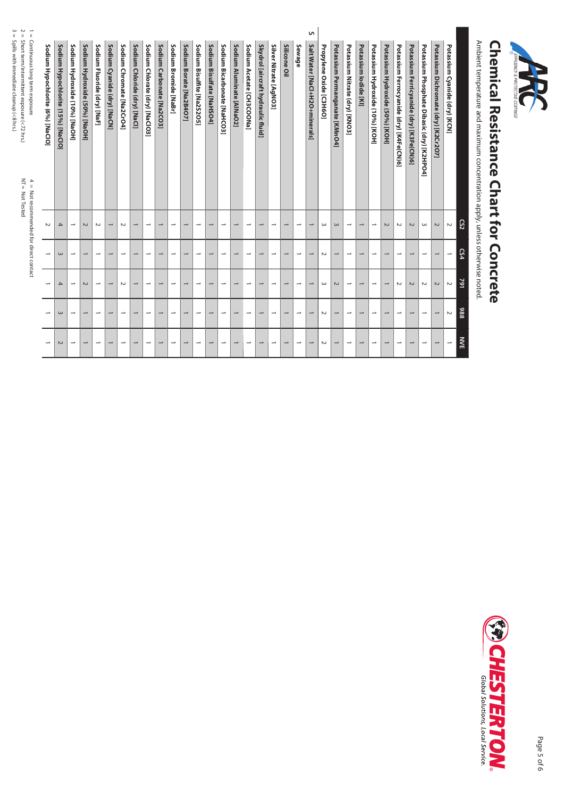| ς<br>2<br>$\vec{\mathbf{u}}$<br>II<br>$\,$ H<br>Soill's with in mediate cleanup (<& h's)<br>Continuous long term exposure<br>Short term/intermittent exposure (<72 hrs.)<br>$NT =$<br>$\frac{4}{1}$<br>Not Tested | Sodium Hypochlorite (6%) [NaClO] | Sodium Hypochlorite (15%) [NaClO] | Sodium Hydroxide (10%) [NaOH] | Sodium Hydroxide (50%) [NaOH] | Sodium Fluoride (dry) [NaF] | Sodium Cyanide (dry) [NaCN] | Sodium Chromate [Na2CrO4] | Sodium Chloride (dry) [NaCl] | Sodium Chlorate (dry) [NaClO3] | Sodium Carbonate [Na2CO3] | Sodium Bromide [NaBr]    | Sodium Borate [Na2B4O7]  | Sodium Bisulfite [Na2S2O5] | Sodium Bisulfate [NaHSO4] | Sodium Bicarbonate [NaHCO3] | Sodium Aluminate [AlNaO2] | Sodium Acetate [CH3COONa] | Skydrol [aircraft hydraulic fluid] | Silver Nitrate [AgNO3]   | Silicone Oil             | Sewage                   | S<br>Salt Water [NaCl+H2O+minerals] | Propylene Oxide [C3H6O] | Potassium Permanganate [KMnO4] | Potassium Nitrate (dry) [KNO3] | Potassium lodide [KI]    | Potassium Hydroxide (10%) [KOH] | Potassium Hydroxide (50%) [KOH] | Potassium Ferrocyanide (dry) [K4Fe(CN)6] | Potassium Ferricyanide (dry) [K3Fe(CN)6] | Potassium Phosphate Dibasic (dry) [K2HPO4] | Potassium Dichromate (dry) [K2Cr2O7] | Potassium Cyanide (dry) [KCN] | Ambient temperature and maximum concentration apply, unless otherwise noted. | hemical Resistance | <b>SSNITAGS</b> |  |
|-------------------------------------------------------------------------------------------------------------------------------------------------------------------------------------------------------------------|----------------------------------|-----------------------------------|-------------------------------|-------------------------------|-----------------------------|-----------------------------|---------------------------|------------------------------|--------------------------------|---------------------------|--------------------------|--------------------------|----------------------------|---------------------------|-----------------------------|---------------------------|---------------------------|------------------------------------|--------------------------|--------------------------|--------------------------|-------------------------------------|-------------------------|--------------------------------|--------------------------------|--------------------------|---------------------------------|---------------------------------|------------------------------------------|------------------------------------------|--------------------------------------------|--------------------------------------|-------------------------------|------------------------------------------------------------------------------|--------------------|-----------------|--|
| Not recommended for direct contact                                                                                                                                                                                | $\sim$                           | $\rightarrow$                     | $\overline{\phantom{a}}$      | $\sim$                        | $\sim$                      | $\overline{\phantom{a}}$    | $\sim$                    | $\overline{\phantom{a}}$     | $\overline{\phantom{a}}$       | $\overline{\phantom{0}}$  | $\overline{\phantom{a}}$ | $\overline{\phantom{a}}$ | $\overline{\phantom{a}}$   | $\overline{\phantom{a}}$  | $\overline{\phantom{a}}$    | $\overline{\phantom{a}}$  | $\overline{\phantom{a}}$  | $\overline{\phantom{a}}$           | $\overline{\phantom{a}}$ | $\overline{\phantom{0}}$ | $\overline{\phantom{a}}$ | $\overline{\phantom{0}}$            | $\omega$                | $\omega$                       | $\overline{\phantom{a}}$       | $\overline{\phantom{a}}$ | $\overline{\phantom{a}}$        | $\sim$                          | $\sim$                                   | $\sim$                                   | $\omega$                                   | $\sim$                               | $\sim$                        | CS <sub>2</sub>                                                              | <b>Chart for</b>   |                 |  |
|                                                                                                                                                                                                                   | $\overline{\phantom{a}}$         | $\omega$                          | $\overline{\phantom{a}}$      | $\overline{\phantom{0}}$      | $\rightarrow$               | $\overline{\phantom{a}}$    | $\overline{\phantom{a}}$  | $\overline{\phantom{a}}$     | $\overline{\phantom{a}}$       | $\overline{\phantom{a}}$  | $\overline{\phantom{a}}$ | $\overline{\phantom{a}}$ | $\overline{\phantom{a}}$   | $\overline{\phantom{a}}$  | $\overline{\phantom{a}}$    | $\overline{\phantom{a}}$  | $\overline{\phantom{a}}$  | $\overline{\phantom{a}}$           | $\overline{\phantom{a}}$ | $\overline{\phantom{a}}$ | $\overline{\phantom{a}}$ | $\overline{\phantom{a}}$            | $\sim$                  | $\overline{\phantom{a}}$       | $\overline{\phantom{a}}$       | $\overline{\phantom{a}}$ | $\overline{\phantom{a}}$        | $\overline{\phantom{a}}$        | $\overline{\phantom{a}}$                 | $\overline{\phantom{a}}$                 | $\overline{\phantom{a}}$                   | $\overline{\phantom{a}}$             | $\rightarrow$                 | <b>CS4</b>                                                                   |                    |                 |  |
|                                                                                                                                                                                                                   |                                  | 4                                 | $\overline{\phantom{a}}$      | $\sim$                        | $\rightarrow$               | $\rightarrow$               | $\sim$                    | $\overline{\phantom{a}}$     | $\overline{\phantom{a}}$       | $\overline{\phantom{0}}$  | $\overline{\phantom{a}}$ | $\overline{\phantom{a}}$ | $\overline{\phantom{a}}$   | $\overline{\phantom{a}}$  | $\overline{\phantom{a}}$    | $\overline{\phantom{a}}$  | $\overline{\phantom{a}}$  | $\overline{\phantom{0}}$           | $\overline{\phantom{a}}$ | $\overline{\phantom{0}}$ | $\overline{\phantom{a}}$ | $\overline{\phantom{0}}$            | $\omega$                | $\sim$                         | $\overline{\phantom{a}}$       | J                        | $\overline{\phantom{a}}$        | $\overline{\phantom{a}}$        | $\sim$                                   | $\sim$                                   | $\sim$                                     | $\sim$                               | $\sim$                        | 791                                                                          | Concrete           |                 |  |
|                                                                                                                                                                                                                   | $\overline{\phantom{a}}$         | ε                                 | $\overline{\phantom{a}}$      | $\overline{\phantom{a}}$      | $\overline{\phantom{a}}$    | $\rightarrow$               | $\overline{\phantom{a}}$  | $\overline{\phantom{a}}$     | $\overline{\phantom{a}}$       | $\overline{\phantom{a}}$  | $\overline{\phantom{a}}$ | $\overline{\phantom{0}}$ | $\overline{\phantom{a}}$   | $\overline{\phantom{0}}$  | $\overline{\phantom{a}}$    | $\overline{\phantom{a}}$  | $\overline{\phantom{a}}$  | $\overline{\phantom{a}}$           | $\overline{\phantom{a}}$ | $\overline{\phantom{0}}$ | $\overline{\phantom{a}}$ | $\overline{\phantom{0}}$            | $\sim$                  | $\overline{\phantom{a}}$       | $\overline{\phantom{0}}$       | $\overline{\phantom{0}}$ | $\overline{\phantom{a}}$        | $\overline{\phantom{a}}$        | $\overline{\phantom{0}}$                 | $\overline{\phantom{a}}$                 | $\overline{\phantom{a}}$                   | $\overline{\phantom{a}}$             | $\sim$                        | 886                                                                          |                    |                 |  |
|                                                                                                                                                                                                                   | $\overline{\phantom{a}}$         | $\sim$                            | $\overline{\phantom{a}}$      | $\overline{\phantom{a}}$      | $\overline{\phantom{a}}$    | $\overline{\phantom{a}}$    | $\overline{\phantom{a}}$  | $\overline{\phantom{a}}$     | $\overline{\phantom{a}}$       | $\overline{\phantom{a}}$  | $\overline{\phantom{a}}$ | $\overline{\phantom{a}}$ | $\overline{\phantom{a}}$   | $\overline{\phantom{a}}$  | $\overline{\phantom{a}}$    | $\overline{\phantom{a}}$  | $\overline{\phantom{a}}$  | $\overline{\phantom{a}}$           | $\overline{\phantom{a}}$ | $\overline{\phantom{a}}$ | $\overline{\phantom{a}}$ | $\overline{\phantom{a}}$            | $\sim$                  | $\overline{\phantom{a}}$       | $\overline{\phantom{a}}$       | $\overline{\phantom{a}}$ | $\overline{\phantom{a}}$        | $\overline{\phantom{a}}$        | $\overline{\phantom{a}}$                 | $\overline{\phantom{a}}$                 | $\overline{\phantom{a}}$                   | $\overline{\phantom{a}}$             | $\overline{\phantom{a}}$      | <b>NVE</b>                                                                   |                    |                 |  |

Spills with immediate cleanup (<8 hrs.)